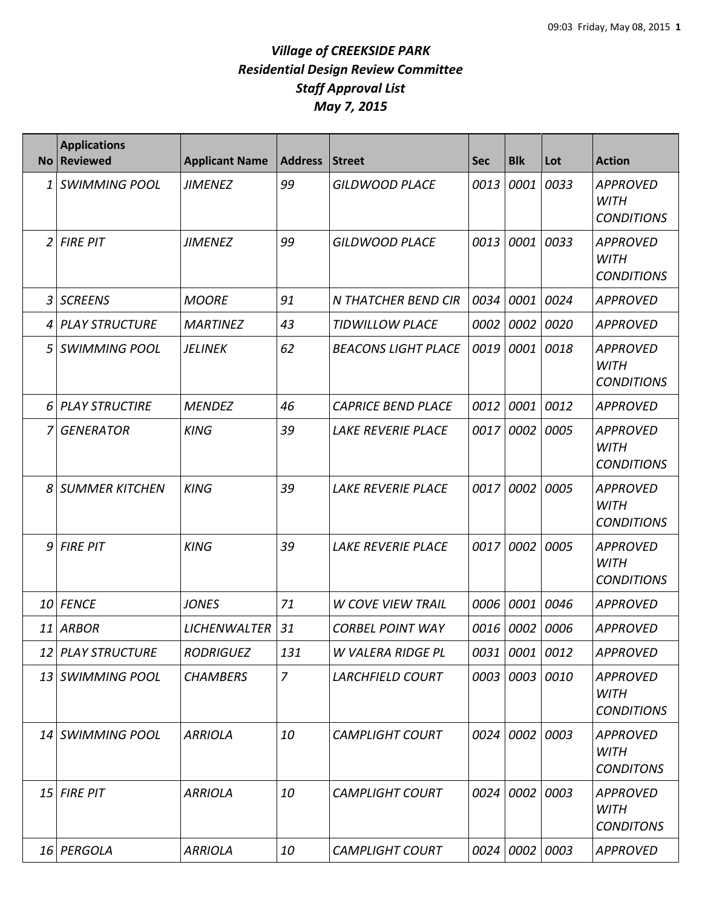| No <sub>1</sub> | <b>Applications</b><br><b>Reviewed</b> | <b>Applicant Name</b> | <b>Address</b> | <b>Street</b>              | <b>Sec</b> | <b>Blk</b>     | Lot       | <b>Action</b>                                       |
|-----------------|----------------------------------------|-----------------------|----------------|----------------------------|------------|----------------|-----------|-----------------------------------------------------|
|                 | 1 SWIMMING POOL                        | <b>JIMENEZ</b>        | 99             | <b>GILDWOOD PLACE</b>      | 0013       | 0001           | 0033      | <b>APPROVED</b><br><b>WITH</b><br><b>CONDITIONS</b> |
|                 | 2 FIRE PIT                             | <b>JIMENEZ</b>        | 99             | <b>GILDWOOD PLACE</b>      | 0013       | 0001 0033      |           | <b>APPROVED</b><br><b>WITH</b><br><b>CONDITIONS</b> |
|                 | 3 SCREENS                              | <b>MOORE</b>          | 91             | N THATCHER BEND CIR        | 0034       | 0001 0024      |           | <b>APPROVED</b>                                     |
|                 | 4 PLAY STRUCTURE                       | <b>MARTINEZ</b>       | 43             | <b>TIDWILLOW PLACE</b>     | 0002       | 0002           | 0020      | <b>APPROVED</b>                                     |
|                 | 5 SWIMMING POOL                        | <b>JELINEK</b>        | 62             | <b>BEACONS LIGHT PLACE</b> | 0019       | 0001           | 0018      | <b>APPROVED</b><br><b>WITH</b><br><b>CONDITIONS</b> |
|                 | 6 PLAY STRUCTIRE                       | <b>MENDEZ</b>         | 46             | <b>CAPRICE BEND PLACE</b>  | 0012       | 0001           | 0012      | <b>APPROVED</b>                                     |
|                 | 7 GENERATOR                            | <b>KING</b>           | 39             | <b>LAKE REVERIE PLACE</b>  | 0017       | 0002           | 0005      | <b>APPROVED</b><br><b>WITH</b><br><b>CONDITIONS</b> |
|                 | <b>8 SUMMER KITCHEN</b>                | <b>KING</b>           | 39             | <b>LAKE REVERIE PLACE</b>  | 0017       | 0002           | 0005      | <b>APPROVED</b><br><b>WITH</b><br><b>CONDITIONS</b> |
|                 | 9 FIRE PIT                             | <b>KING</b>           | 39             | <b>LAKE REVERIE PLACE</b>  | 0017       | 0002           | 0005      | <b>APPROVED</b><br><b>WITH</b><br><b>CONDITIONS</b> |
|                 | 10 FENCE                               | <b>JONES</b>          | 71             | <b>W COVE VIEW TRAIL</b>   | 0006       | 0001           | 0046      | <b>APPROVED</b>                                     |
|                 | 11 ARBOR                               | <b>LICHENWALTER</b>   | 31             | <b>CORBEL POINT WAY</b>    | 0016       | 0002           | 0006      | <b>APPROVED</b>                                     |
|                 | 12 PLAY STRUCTURE                      | <b>RODRIGUEZ</b>      | 131            | W VALERA RIDGE PL          |            | 0031 0001 0012 |           | APPROVED                                            |
|                 | 13 SWIMMING POOL                       | <b>CHAMBERS</b>       | $\overline{7}$ | <b>LARCHFIELD COURT</b>    |            | 0003 0003 0010 |           | <b>APPROVED</b><br><b>WITH</b><br><b>CONDITIONS</b> |
|                 | 14 SWIMMING POOL                       | <b>ARRIOLA</b>        | 10             | <b>CAMPLIGHT COURT</b>     | 0024       | 0002 0003      |           | <b>APPROVED</b><br><b>WITH</b><br><b>CONDITONS</b>  |
|                 | $15$ FIRE PIT                          | <b>ARRIOLA</b>        | 10             | <b>CAMPLIGHT COURT</b>     | 0024       |                | 0002 0003 | <b>APPROVED</b><br><b>WITH</b><br><b>CONDITONS</b>  |
|                 | 16 PERGOLA                             | <b>ARRIOLA</b>        | 10             | <b>CAMPLIGHT COURT</b>     |            | 0024 0002 0003 |           | <b>APPROVED</b>                                     |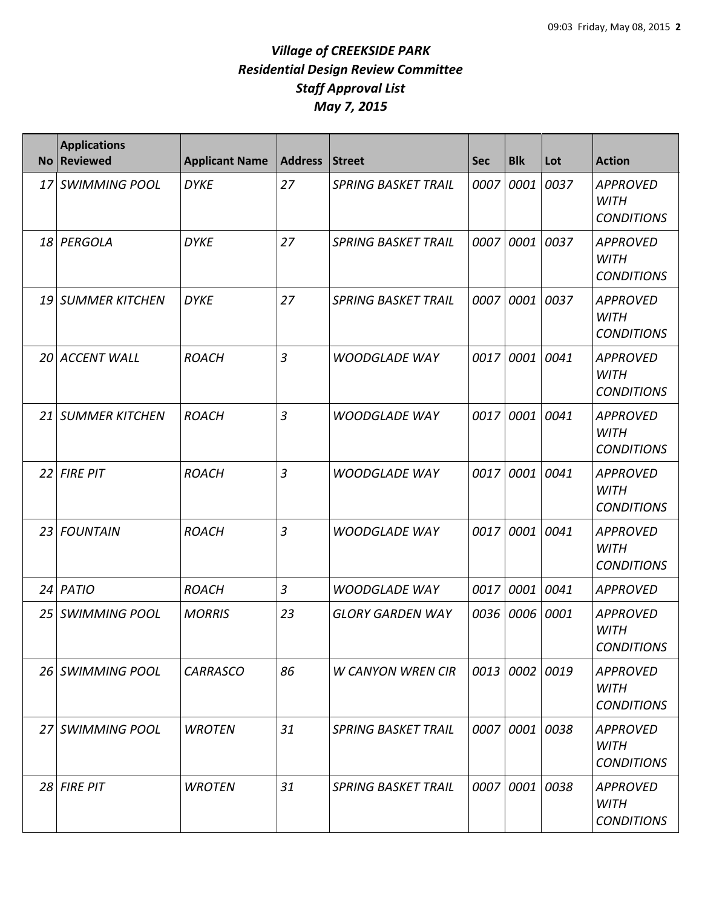| <b>No</b> | <b>Applications</b><br><b>Reviewed</b> | <b>Applicant Name</b> | <b>Address</b> | Street                     | <b>Sec</b> | <b>Blk</b>     | Lot  | <b>Action</b>                                       |
|-----------|----------------------------------------|-----------------------|----------------|----------------------------|------------|----------------|------|-----------------------------------------------------|
|           | 17 SWIMMING POOL                       | <b>DYKE</b>           | 27             | <b>SPRING BASKET TRAIL</b> | 0007       | 0001           | 0037 | <b>APPROVED</b><br><b>WITH</b><br><b>CONDITIONS</b> |
|           | 18 PERGOLA                             | <b>DYKE</b>           | 27             | <b>SPRING BASKET TRAIL</b> | 0007       | 0001           | 0037 | <b>APPROVED</b><br><b>WITH</b><br><b>CONDITIONS</b> |
|           | 19 SUMMER KITCHEN                      | <b>DYKE</b>           | 27             | <b>SPRING BASKET TRAIL</b> | 0007       | 0001           | 0037 | <b>APPROVED</b><br><b>WITH</b><br><b>CONDITIONS</b> |
|           | 20 ACCENT WALL                         | <b>ROACH</b>          | $\overline{3}$ | <b>WOODGLADE WAY</b>       | 0017       | 0001           | 0041 | <b>APPROVED</b><br><b>WITH</b><br><b>CONDITIONS</b> |
|           | 21 SUMMER KITCHEN                      | <b>ROACH</b>          | $\overline{3}$ | <b>WOODGLADE WAY</b>       | 0017       | 0001           | 0041 | <b>APPROVED</b><br><b>WITH</b><br><b>CONDITIONS</b> |
|           | $22$ FIRE PIT                          | <b>ROACH</b>          | $\overline{3}$ | <b>WOODGLADE WAY</b>       | 0017       | 0001 0041      |      | <b>APPROVED</b><br><b>WITH</b><br><b>CONDITIONS</b> |
|           | 23 FOUNTAIN                            | <b>ROACH</b>          | $\overline{3}$ | <b>WOODGLADE WAY</b>       | 0017       | 0001           | 0041 | <b>APPROVED</b><br><b>WITH</b><br><b>CONDITIONS</b> |
|           | 24 PATIO                               | <b>ROACH</b>          | $\overline{3}$ | <b>WOODGLADE WAY</b>       | 0017       | 0001           | 0041 | <b>APPROVED</b>                                     |
|           | 25 SWIMMING POOL                       | <b>MORRIS</b>         | 23             | <b>GLORY GARDEN WAY</b>    | 0036       | 0006           | 0001 | <b>APPROVED</b><br><b>WITH</b><br><b>CONDITIONS</b> |
|           | 26 SWIMMING POOL                       | <b>CARRASCO</b>       | 86             | <b>W CANYON WREN CIR</b>   |            | 0013 0002 0019 |      | <b>APPROVED</b><br><b>WITH</b><br><b>CONDITIONS</b> |
|           | 27 SWIMMING POOL                       | <b>WROTEN</b>         | 31             | <b>SPRING BASKET TRAIL</b> |            | 0007 0001 0038 |      | <b>APPROVED</b><br><b>WITH</b><br><b>CONDITIONS</b> |
|           | 28 FIRE PIT                            | <b>WROTEN</b>         | 31             | <b>SPRING BASKET TRAIL</b> | 0007       | 0001 0038      |      | <b>APPROVED</b><br><b>WITH</b><br><b>CONDITIONS</b> |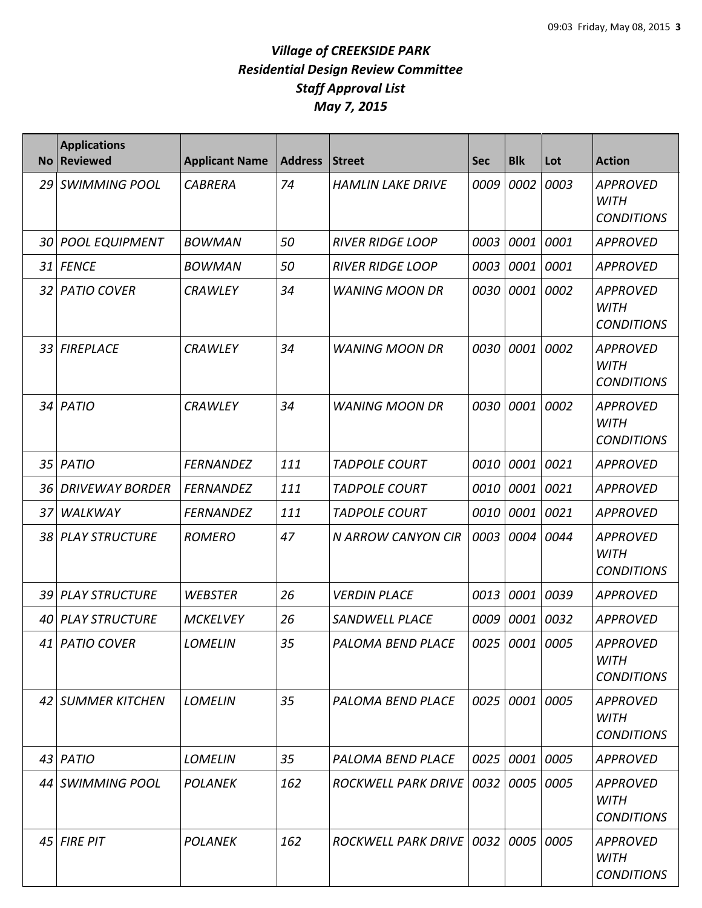| <b>No</b>       | <b>Applications</b><br><b>Reviewed</b> | <b>Applicant Name</b> | <b>Address</b> | <b>Street</b>              | <b>Sec</b> | <b>Blk</b>     | Lot  | <b>Action</b>                                       |
|-----------------|----------------------------------------|-----------------------|----------------|----------------------------|------------|----------------|------|-----------------------------------------------------|
|                 | 29 SWIMMING POOL                       | <b>CABRERA</b>        | 74             | <b>HAMLIN LAKE DRIVE</b>   | 0009       | 0002           | 0003 | <b>APPROVED</b><br><b>WITH</b><br><b>CONDITIONS</b> |
|                 | 30 POOL EQUIPMENT                      | <b>BOWMAN</b>         | 50             | <b>RIVER RIDGE LOOP</b>    | 0003       | 0001           | 0001 | <b>APPROVED</b>                                     |
|                 | 31 FENCE                               | <b>BOWMAN</b>         | 50             | <b>RIVER RIDGE LOOP</b>    | 0003       | 0001 0001      |      | <b>APPROVED</b>                                     |
| 32 <sub>1</sub> | <b>PATIO COVER</b>                     | <b>CRAWLEY</b>        | 34             | <b>WANING MOON DR</b>      | 0030       | 0001           | 0002 | <b>APPROVED</b><br><b>WITH</b><br><b>CONDITIONS</b> |
|                 | 33 FIREPLACE                           | <b>CRAWLEY</b>        | 34             | <b>WANING MOON DR</b>      | 0030       | 0001           | 0002 | <b>APPROVED</b><br><b>WITH</b><br><b>CONDITIONS</b> |
|                 | 34 PATIO                               | <b>CRAWLEY</b>        | 34             | <b>WANING MOON DR</b>      | 0030       | 0001           | 0002 | <b>APPROVED</b><br><b>WITH</b><br><b>CONDITIONS</b> |
|                 | 35 PATIO                               | <b>FERNANDEZ</b>      | 111            | <b>TADPOLE COURT</b>       | 0010       | 0001 0021      |      | <b>APPROVED</b>                                     |
| 36              | <b>DRIVEWAY BORDER</b>                 | <b>FERNANDEZ</b>      | 111            | <b>TADPOLE COURT</b>       | 0010       | 0001           | 0021 | <b>APPROVED</b>                                     |
| 37              | WALKWAY                                | <b>FERNANDEZ</b>      | 111            | <b>TADPOLE COURT</b>       | 0010       | 0001           | 0021 | <b>APPROVED</b>                                     |
|                 | 38 PLAY STRUCTURE                      | <b>ROMERO</b>         | 47             | N ARROW CANYON CIR         | 0003       | 0004           | 0044 | <b>APPROVED</b><br><b>WITH</b><br><b>CONDITIONS</b> |
|                 | 39 PLAY STRUCTURE                      | <b>WEBSTER</b>        | 26             | <b>VERDIN PLACE</b>        | 0013       | 0001 0039      |      | <b>APPROVED</b>                                     |
|                 | 40 PLAY STRUCTURE                      | <b>MCKELVEY</b>       | 26             | <b>SANDWELL PLACE</b>      | 0009       | 0001           | 0032 | <b>APPROVED</b>                                     |
|                 | 41 PATIO COVER                         | <b>LOMELIN</b>        | 35             | <b>PALOMA BEND PLACE</b>   | 0025       | 0001 0005      |      | <b>APPROVED</b><br><b>WITH</b><br><b>CONDITIONS</b> |
|                 | 42 SUMMER KITCHEN                      | <b>LOMELIN</b>        | 35             | PALOMA BEND PLACE          |            | 0025 0001 0005 |      | APPROVED<br><b>WITH</b><br><b>CONDITIONS</b>        |
|                 | $43$ PATIO                             | <b>LOMELIN</b>        | 35             | PALOMA BEND PLACE          | 0025       | 0001 0005      |      | <b>APPROVED</b>                                     |
|                 | 44 SWIMMING POOL                       | <b>POLANEK</b>        | 162            | ROCKWELL PARK DRIVE        | 0032       | 0005 0005      |      | <b>APPROVED</b><br><b>WITH</b><br><b>CONDITIONS</b> |
|                 | 45 FIRE PIT                            | <b>POLANEK</b>        | 162            | ROCKWELL PARK DRIVE   0032 |            | 0005 0005      |      | <b>APPROVED</b><br><b>WITH</b><br><b>CONDITIONS</b> |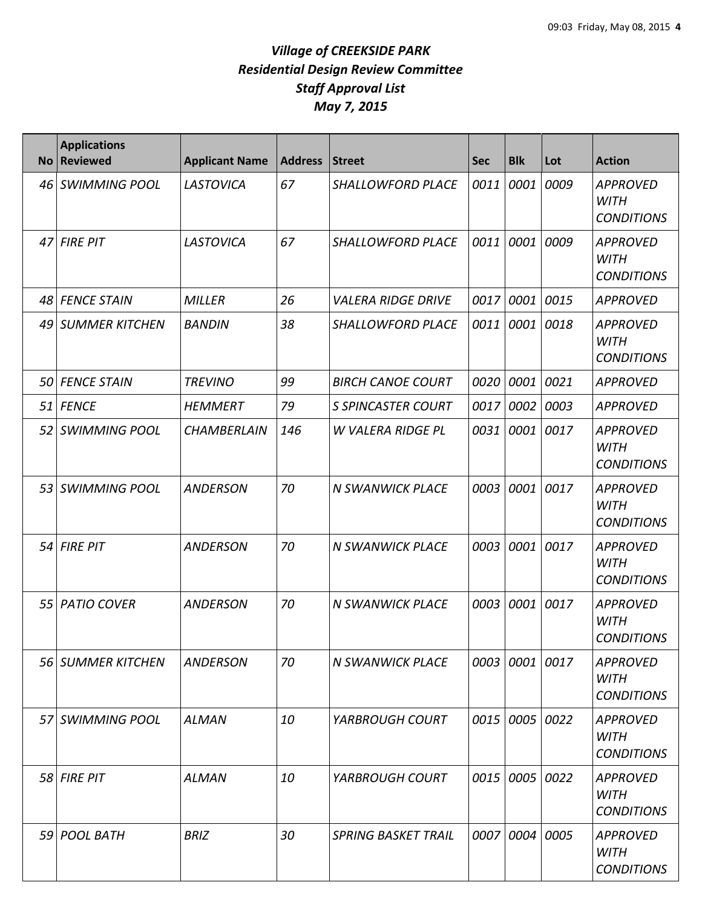| No <sub>1</sub> | <b>Applications</b><br><b>Reviewed</b> | <b>Applicant Name</b> | <b>Address</b> | <b>Street</b>              | <b>Sec</b> | <b>Blk</b>     | Lot  | <b>Action</b>                                       |
|-----------------|----------------------------------------|-----------------------|----------------|----------------------------|------------|----------------|------|-----------------------------------------------------|
| 46 I            | <b>SWIMMING POOL</b>                   | LASTOVICA             | 67             | <b>SHALLOWFORD PLACE</b>   | 0011       | 0001           | 0009 | <b>APPROVED</b><br><b>WITH</b><br><b>CONDITIONS</b> |
|                 | 47 FIRE PIT                            | LASTOVICA             | 67             | SHALLOWFORD PLACE          | 0011       | 0001           | 0009 | <b>APPROVED</b><br><b>WITH</b><br><b>CONDITIONS</b> |
| 48              | <b>FENCE STAIN</b>                     | <b>MILLER</b>         | 26             | <b>VALERA RIDGE DRIVE</b>  | 0017       | 0001           | 0015 | <b>APPROVED</b>                                     |
| 491             | <b>SUMMER KITCHEN</b>                  | <b>BANDIN</b>         | 38             | <b>SHALLOWFORD PLACE</b>   | 0011       | 0001           | 0018 | <b>APPROVED</b><br><b>WITH</b><br><b>CONDITIONS</b> |
| .50 I           | <b>FENCE STAIN</b>                     | <b>TREVINO</b>        | 99             | <b>BIRCH CANOE COURT</b>   | 0020       | 0001           | 0021 | <b>APPROVED</b>                                     |
|                 | 51 FENCE                               | <b>HEMMERT</b>        | 79             | <b>S SPINCASTER COURT</b>  | 0017       | 0002           | 0003 | <b>APPROVED</b>                                     |
| 52 I            | <b>SWIMMING POOL</b>                   | <b>CHAMBERLAIN</b>    | 146            | <b>W VALERA RIDGE PL</b>   | 0031       | 0001           | 0017 | <b>APPROVED</b><br><b>WITH</b><br><b>CONDITIONS</b> |
|                 | 53 SWIMMING POOL                       | <b>ANDERSON</b>       | 70             | <b>N SWANWICK PLACE</b>    | 0003       | 0001           | 0017 | <b>APPROVED</b><br><b>WITH</b><br><b>CONDITIONS</b> |
|                 | $54$ FIRE PIT                          | <b>ANDERSON</b>       | 70             | <b>N SWANWICK PLACE</b>    | 0003       | 0001           | 0017 | <b>APPROVED</b><br><b>WITH</b><br><b>CONDITIONS</b> |
| 55              | <b>PATIO COVER</b>                     | <b>ANDERSON</b>       | 70             | <b>N SWANWICK PLACE</b>    | 0003       | 0001           | 0017 | <b>APPROVED</b><br><b>WITH</b><br><b>CONDITIONS</b> |
|                 | 56 SUMMER KITCHEN                      | <b>ANDERSON</b>       | 70             | <b>N SWANWICK PLACE</b>    |            | 0003 0001 0017 |      | <b>APPROVED</b><br><b>WITH</b><br><b>CONDITIONS</b> |
|                 | 57 SWIMMING POOL                       | <b>ALMAN</b>          | 10             | <b>YARBROUGH COURT</b>     |            | 0015 0005      | 0022 | <b>APPROVED</b><br><b>WITH</b><br><b>CONDITIONS</b> |
|                 | 58 FIRE PIT                            | <b>ALMAN</b>          | 10             | <b>YARBROUGH COURT</b>     |            | 0015 0005      | 0022 | <b>APPROVED</b><br><b>WITH</b><br><b>CONDITIONS</b> |
|                 | 59 POOL BATH                           | <b>BRIZ</b>           | 30             | <b>SPRING BASKET TRAIL</b> |            | 0007 0004      | 0005 | <b>APPROVED</b><br><b>WITH</b><br><b>CONDITIONS</b> |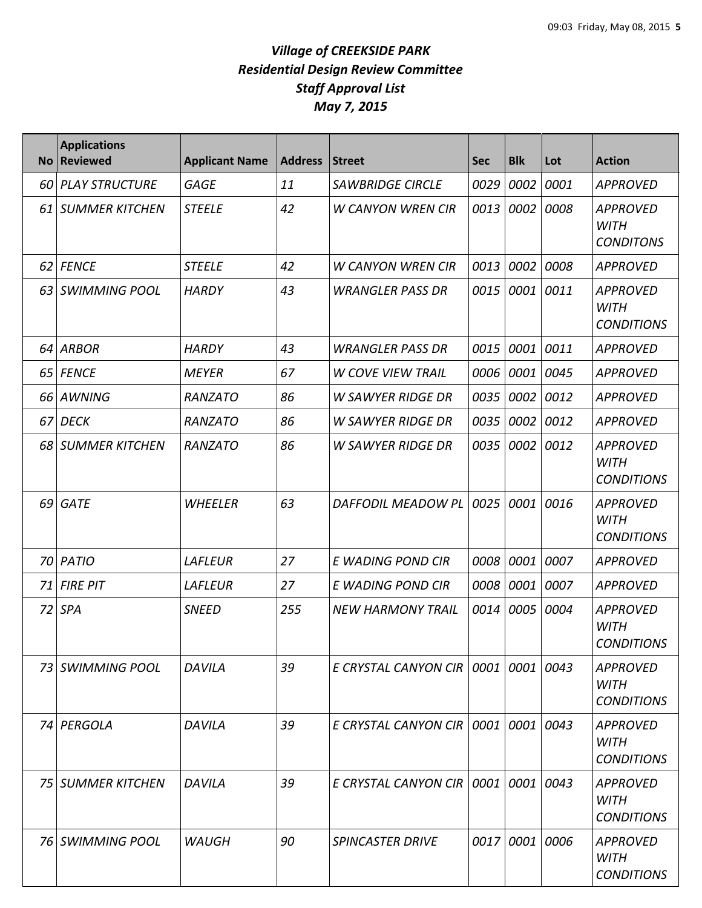| <b>No</b> | <b>Applications</b><br><b>Reviewed</b> | <b>Applicant Name</b> | <b>Address</b> | <b>Street</b>                      | <b>Sec</b> | <b>Blk</b> | Lot  | <b>Action</b>                                       |
|-----------|----------------------------------------|-----------------------|----------------|------------------------------------|------------|------------|------|-----------------------------------------------------|
| 60        | <b>PLAY STRUCTURE</b>                  | <b>GAGE</b>           | 11             | <b>SAWBRIDGE CIRCLE</b>            | 0029       | 0002       | 0001 | <b>APPROVED</b>                                     |
| 61 I      | <b>SUMMER KITCHEN</b>                  | <b>STEELE</b>         | 42             | <b>W CANYON WREN CIR</b>           | 0013       | 0002       | 0008 | <b>APPROVED</b><br><b>WITH</b><br><b>CONDITONS</b>  |
| 62 I      | <b>FENCE</b>                           | <b>STEELE</b>         | 42             | <b>W CANYON WREN CIR</b>           | 0013       | 0002       | 0008 | <b>APPROVED</b>                                     |
| 63        | <b>SWIMMING POOL</b>                   | <b>HARDY</b>          | 43             | <b>WRANGLER PASS DR</b>            | 0015       | 0001       | 0011 | <b>APPROVED</b><br><b>WITH</b><br><b>CONDITIONS</b> |
|           | 64 ARBOR                               | <b>HARDY</b>          | 43             | <b>WRANGLER PASS DR</b>            | 0015       | 0001       | 0011 | <b>APPROVED</b>                                     |
|           | 65 FENCE                               | <b>MEYER</b>          | 67             | <b>W COVE VIEW TRAIL</b>           |            | 0006 0001  | 0045 | <b>APPROVED</b>                                     |
| 66 I      | <b>AWNING</b>                          | <b>RANZATO</b>        | 86             | <b>W SAWYER RIDGE DR</b>           | 0035       | 0002       | 0012 | <b>APPROVED</b>                                     |
|           | 67 DECK                                | <b>RANZATO</b>        | 86             | <b>W SAWYER RIDGE DR</b>           | 0035       | 0002       | 0012 | <b>APPROVED</b>                                     |
|           | 68 SUMMER KITCHEN                      | RANZATO               | 86             | <b>W SAWYER RIDGE DR</b>           | 0035       | 0002       | 0012 | <b>APPROVED</b><br><b>WITH</b><br><b>CONDITIONS</b> |
|           | 69 GATE                                | <b>WHEELER</b>        | 63             | DAFFODIL MEADOW PL                 | 0025       | 0001       | 0016 | <b>APPROVED</b><br><b>WITH</b><br><b>CONDITIONS</b> |
| 70 I      | <b>PATIO</b>                           | <b>LAFLEUR</b>        | 27             | E WADING POND CIR                  | 0008       | 0001       | 0007 | <b>APPROVED</b>                                     |
| 71 I      | <b>FIRE PIT</b>                        | <b>LAFLEUR</b>        | 27             | E WADING POND CIR                  | 0008       | 0001       | 0007 | <b>APPROVED</b>                                     |
| 72 l      | <b>SPA</b>                             | <b>SNEED</b>          | 255            | <b>NEW HARMONY TRAIL</b>           | 0014       | 0005       | 0004 | <b>APPROVED</b><br><b>WITH</b><br><b>CONDITIONS</b> |
|           | 73 SWIMMING POOL                       | DAVILA                | 39             | E CRYSTAL CANYON CIR I             |            | 0001 0001  | 0043 | <b>APPROVED</b><br>WITH<br><b>CONDITIONS</b>        |
|           | 74 PERGOLA                             | DAVILA                | 39             | E CRYSTAL CANYON CIR   0001   0001 |            |            | 0043 | <b>APPROVED</b><br><b>WITH</b><br><b>CONDITIONS</b> |
|           | 75 SUMMER KITCHEN                      | <b>DAVILA</b>         | 39             | E CRYSTAL CANYON CIR $ 0001 0001$  |            |            | 0043 | <b>APPROVED</b><br>WITH<br><b>CONDITIONS</b>        |
|           | 76 SWIMMING POOL                       | <b>WAUGH</b>          | 90             | <b>SPINCASTER DRIVE</b>            |            | 0017 0001  | 0006 | <b>APPROVED</b><br>WITH<br><b>CONDITIONS</b>        |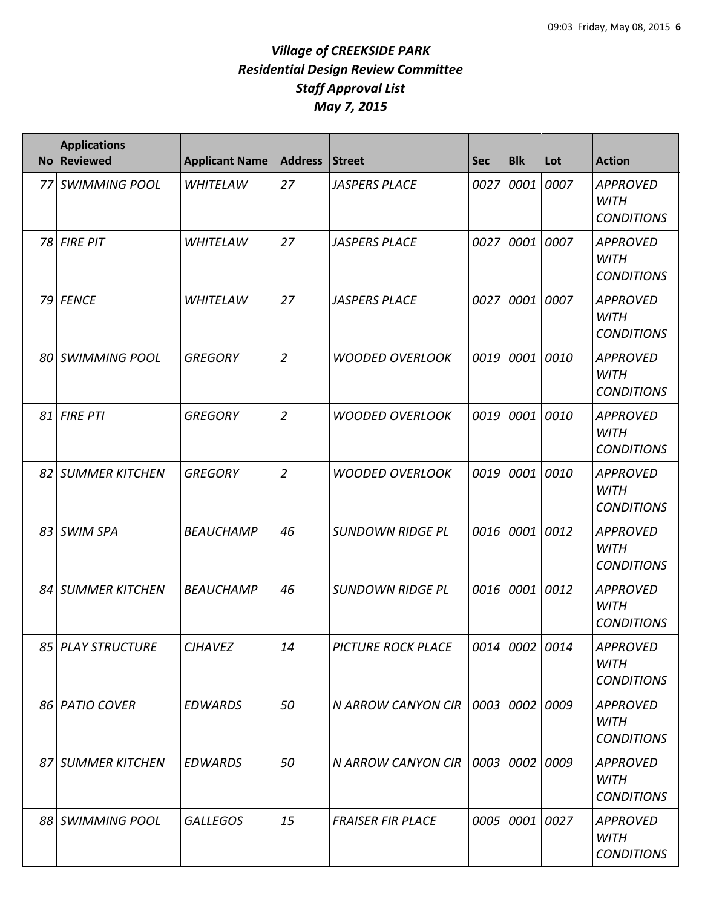| <b>No</b> | <b>Applications</b><br><b>Reviewed</b> | <b>Applicant Name</b> | <b>Address</b> | <b>Street</b>             | <b>Sec</b> | <b>Blk</b>     | Lot       | <b>Action</b>                                       |
|-----------|----------------------------------------|-----------------------|----------------|---------------------------|------------|----------------|-----------|-----------------------------------------------------|
|           | 77 SWIMMING POOL                       | <b>WHITELAW</b>       | 27             | <b>JASPERS PLACE</b>      | 0027       | 0001           | 0007      | <b>APPROVED</b><br><b>WITH</b><br><b>CONDITIONS</b> |
|           | 78 FIRE PIT                            | <b>WHITELAW</b>       | 27             | <b>JASPERS PLACE</b>      | 0027       | 0001           | 0007      | <b>APPROVED</b><br><b>WITH</b><br><b>CONDITIONS</b> |
|           | 79 FENCE                               | <b>WHITELAW</b>       | 27             | <b>JASPERS PLACE</b>      | 0027       | 0001           | 0007      | <b>APPROVED</b><br><b>WITH</b><br><b>CONDITIONS</b> |
|           | 80 SWIMMING POOL                       | <b>GREGORY</b>        | $\overline{2}$ | <b>WOODED OVERLOOK</b>    | 0019       | 0001           | 0010      | <b>APPROVED</b><br><b>WITH</b><br><b>CONDITIONS</b> |
|           | 81 FIRE PTI                            | <b>GREGORY</b>        | $\overline{2}$ | <b>WOODED OVERLOOK</b>    | 0019       | 0001           | 0010      | <b>APPROVED</b><br><b>WITH</b><br><b>CONDITIONS</b> |
|           | 82 SUMMER KITCHEN                      | <b>GREGORY</b>        | $\overline{2}$ | <b>WOODED OVERLOOK</b>    | 0019       |                | 0001 0010 | <b>APPROVED</b><br><b>WITH</b><br><b>CONDITIONS</b> |
|           | 83 SWIM SPA                            | <b>BEAUCHAMP</b>      | 46             | <b>SUNDOWN RIDGE PL</b>   | 0016       | 0001 0012      |           | <b>APPROVED</b><br><b>WITH</b><br><b>CONDITIONS</b> |
|           | 84 SUMMER KITCHEN                      | <b>BEAUCHAMP</b>      | 46             | <b>SUNDOWN RIDGE PL</b>   | 0016       | 0001           | 0012      | <b>APPROVED</b><br><b>WITH</b><br><b>CONDITIONS</b> |
|           | 85 PLAY STRUCTURE                      | <b>CJHAVEZ</b>        | 14             | <b>PICTURE ROCK PLACE</b> |            | 0014 0002 0014 |           | <b>APPROVED</b><br><b>WITH</b><br><b>CONDITIONS</b> |
|           | 86 PATIO COVER                         | <b>EDWARDS</b>        | 50             | <b>N ARROW CANYON CIR</b> | 0003       | 0002 0009      |           | <b>APPROVED</b><br><b>WITH</b><br><b>CONDITIONS</b> |
|           | 87 SUMMER KITCHEN                      | <b>EDWARDS</b>        | 50             | N ARROW CANYON CIR        | 0003       | 0002 0009      |           | <b>APPROVED</b><br><b>WITH</b><br><b>CONDITIONS</b> |
|           | 88 SWIMMING POOL                       | <b>GALLEGOS</b>       | 15             | <b>FRAISER FIR PLACE</b>  | 0005       |                | 0001 0027 | <b>APPROVED</b><br><b>WITH</b><br><b>CONDITIONS</b> |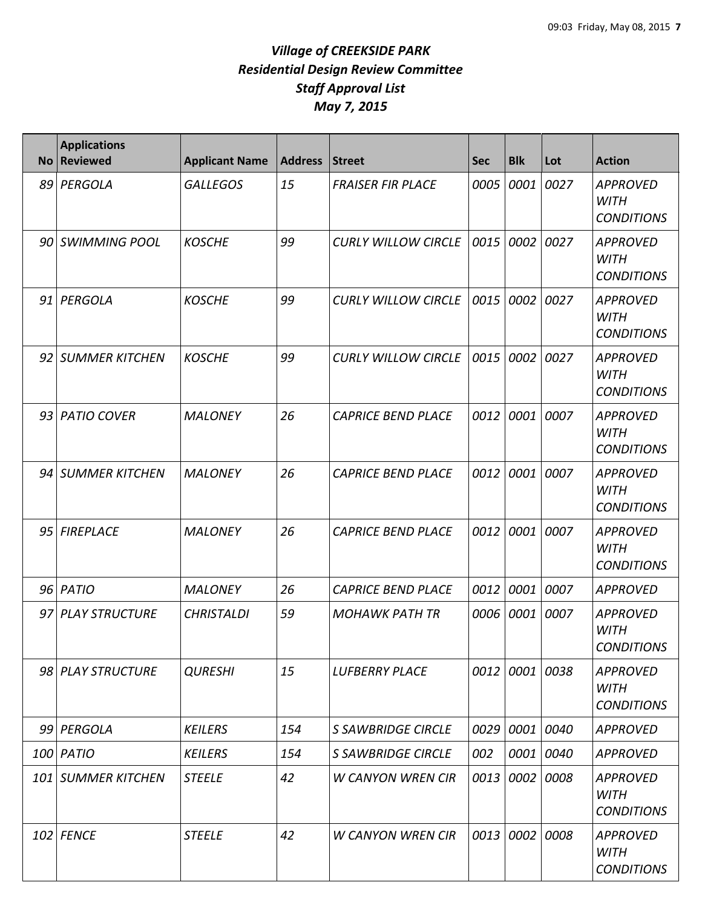| <b>No</b> | <b>Applications</b><br><b>Reviewed</b> | <b>Applicant Name</b> | <b>Address</b> | Street                     | <b>Sec</b> | <b>Blk</b>     | Lot       | <b>Action</b>                                       |
|-----------|----------------------------------------|-----------------------|----------------|----------------------------|------------|----------------|-----------|-----------------------------------------------------|
|           | 89 PERGOLA                             | <b>GALLEGOS</b>       | 15             | <b>FRAISER FIR PLACE</b>   | 0005       | 0001           | 0027      | <b>APPROVED</b><br><b>WITH</b><br><b>CONDITIONS</b> |
|           | 90 SWIMMING POOL                       | <b>KOSCHE</b>         | 99             | <b>CURLY WILLOW CIRCLE</b> | 0015       | 0002           | 0027      | <b>APPROVED</b><br><b>WITH</b><br><b>CONDITIONS</b> |
|           | 91 PERGOLA                             | <b>KOSCHE</b>         | 99             | <b>CURLY WILLOW CIRCLE</b> | 0015       | 0002           | 0027      | <b>APPROVED</b><br><b>WITH</b><br><b>CONDITIONS</b> |
|           | 92 SUMMER KITCHEN                      | <b>KOSCHE</b>         | 99             | <b>CURLY WILLOW CIRCLE</b> | 0015       | 0002           | 0027      | <b>APPROVED</b><br><b>WITH</b><br><b>CONDITIONS</b> |
|           | 93 PATIO COVER                         | <b>MALONEY</b>        | 26             | <b>CAPRICE BEND PLACE</b>  | 0012       | 0001           | 0007      | <b>APPROVED</b><br><b>WITH</b><br><b>CONDITIONS</b> |
|           | 94 SUMMER KITCHEN                      | <b>MALONEY</b>        | 26             | <b>CAPRICE BEND PLACE</b>  | 0012       | 0001           | 0007      | <b>APPROVED</b><br><b>WITH</b><br><b>CONDITIONS</b> |
|           | 95 FIREPLACE                           | <b>MALONEY</b>        | 26             | <b>CAPRICE BEND PLACE</b>  | 0012       | 0001           | 0007      | <b>APPROVED</b><br><b>WITH</b><br><b>CONDITIONS</b> |
|           | 96 PATIO                               | <b>MALONEY</b>        | 26             | <b>CAPRICE BEND PLACE</b>  | 0012       | 0001           | 0007      | <b>APPROVED</b>                                     |
|           | 97 PLAY STRUCTURE                      | <b>CHRISTALDI</b>     | 59             | <b>MOHAWK PATH TR</b>      | 0006       | 0001           | 0007      | <b>APPROVED</b><br><b>WITH</b><br><b>CONDITIONS</b> |
|           | 98 PLAY STRUCTURE                      | <b>QURESHI</b>        | 15             | <b>LUFBERRY PLACE</b>      |            | 0012 0001 0038 |           | <b>APPROVED</b><br><b>WITH</b><br><b>CONDITIONS</b> |
|           | 99 PERGOLA                             | <b>KEILERS</b>        | 154            | <b>S SAWBRIDGE CIRCLE</b>  |            | 0029 0001 0040 |           | <b>APPROVED</b>                                     |
|           | 100 PATIO                              | <b>KEILERS</b>        | 154            | <b>S SAWBRIDGE CIRCLE</b>  | 002        |                | 0001 0040 | <b>APPROVED</b>                                     |
|           | <b>101 SUMMER KITCHEN</b>              | <b>STEELE</b>         | 42             | <b>W CANYON WREN CIR</b>   | 0013       | 0002 0008      |           | <b>APPROVED</b><br><b>WITH</b><br><b>CONDITIONS</b> |
|           | 102 FENCE                              | <b>STEELE</b>         | 42             | <b>W CANYON WREN CIR</b>   | 0013       | 0002 0008      |           | <b>APPROVED</b><br><b>WITH</b><br><b>CONDITIONS</b> |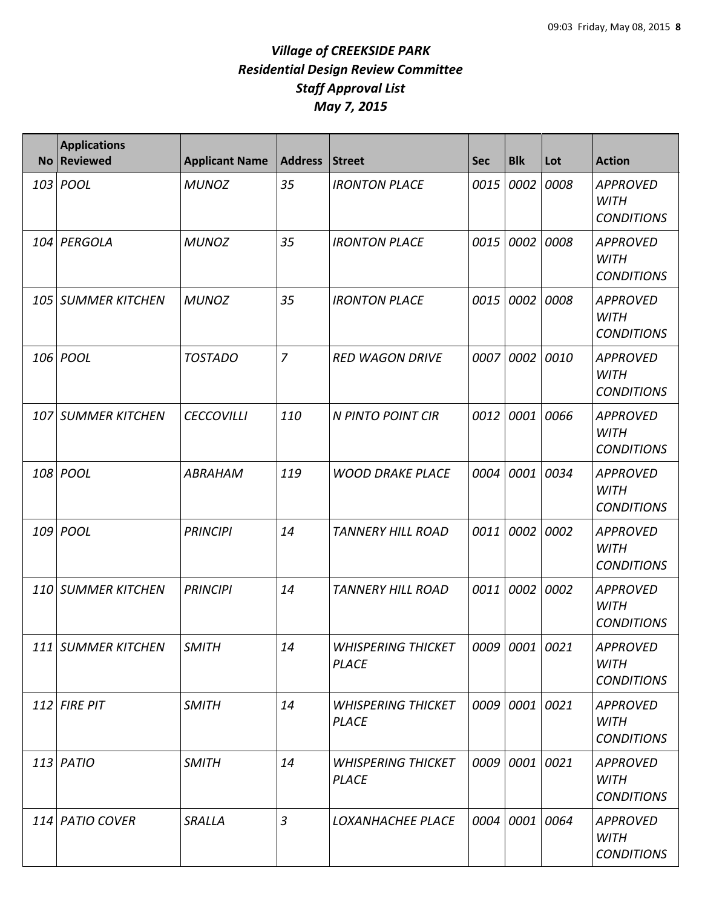| <b>No</b> | <b>Applications</b><br><b>Reviewed</b> | <b>Applicant Name</b> | <b>Address</b> | Street                                    | <b>Sec</b> | <b>Blk</b>     | Lot  | <b>Action</b>                                       |
|-----------|----------------------------------------|-----------------------|----------------|-------------------------------------------|------------|----------------|------|-----------------------------------------------------|
| 103       | POOL                                   | <b>MUNOZ</b>          | 35             | <b>IRONTON PLACE</b>                      | 0015       | 0002           | 0008 | <b>APPROVED</b><br><b>WITH</b><br><b>CONDITIONS</b> |
| 104       | PERGOLA                                | <b>MUNOZ</b>          | 35             | <b>IRONTON PLACE</b>                      | 0015       | 0002           | 0008 | <b>APPROVED</b><br><b>WITH</b><br><b>CONDITIONS</b> |
| 105       | <b>SUMMER KITCHEN</b>                  | <b>MUNOZ</b>          | 35             | <b>IRONTON PLACE</b>                      | 0015       | 0002           | 0008 | <b>APPROVED</b><br><b>WITH</b><br><b>CONDITIONS</b> |
| 106       | POOL                                   | <b>TOSTADO</b>        | $\overline{7}$ | <b>RED WAGON DRIVE</b>                    | 0007       | 0002           | 0010 | <b>APPROVED</b><br><b>WITH</b><br><b>CONDITIONS</b> |
| 107       | <b>SUMMER KITCHEN</b>                  | <b>CECCOVILLI</b>     | 110            | N PINTO POINT CIR                         | 0012       | 0001           | 0066 | <b>APPROVED</b><br><b>WITH</b><br><b>CONDITIONS</b> |
| 108       | POOL                                   | ABRAHAM               | 119            | <b>WOOD DRAKE PLACE</b>                   | 0004       | 0001           | 0034 | <b>APPROVED</b><br><b>WITH</b><br><b>CONDITIONS</b> |
| 109       | POOL                                   | <b>PRINCIPI</b>       | 14             | <b>TANNERY HILL ROAD</b>                  | 0011       | 0002           | 0002 | <b>APPROVED</b><br><b>WITH</b><br><b>CONDITIONS</b> |
| 110       | <b>SUMMER KITCHEN</b>                  | <b>PRINCIPI</b>       | 14             | <b>TANNERY HILL ROAD</b>                  | 0011       | 0002           | 0002 | <b>APPROVED</b><br><b>WITH</b><br><b>CONDITIONS</b> |
| 111       | SUMMFR KITCHFN                         | <b>SMITH</b>          | 14             | <b>WHISPERING THICKET</b><br><b>PLACE</b> |            | 0009 0001 0021 |      | APPROVED<br><b>WITH</b><br><b>CONDITIONS</b>        |
|           | $112$ FIRE PIT                         | <b>SMITH</b>          | 14             | <b>WHISPERING THICKET</b><br><b>PLACE</b> |            | 0009 0001 0021 |      | <b>APPROVED</b><br><b>WITH</b><br><b>CONDITIONS</b> |
|           | $113$ PATIO                            | <b>SMITH</b>          | 14             | <b>WHISPERING THICKET</b><br><b>PLACE</b> |            | 0009 0001 0021 |      | <b>APPROVED</b><br><b>WITH</b><br><b>CONDITIONS</b> |
|           | 114 PATIO COVER                        | SRALLA                | $\overline{3}$ | LOXANHACHEE PLACE                         |            | 0004 0001 0064 |      | <b>APPROVED</b><br><b>WITH</b><br><b>CONDITIONS</b> |